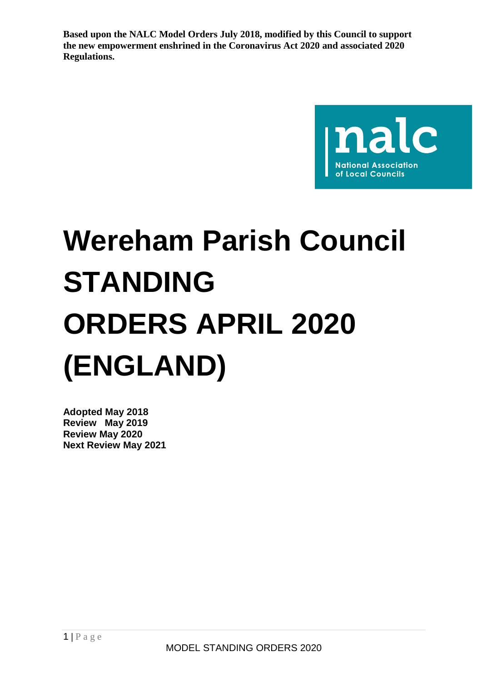

# **Wereham Parish Council STANDING ORDERS APRIL 2020 (ENGLAND)**

**Adopted May 2018 Review May 2019 Review May 2020 Next Review May 2021**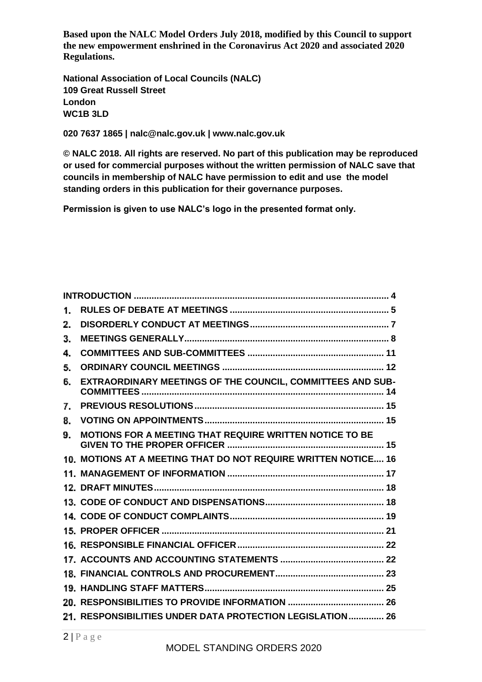**National Association of Local Councils (NALC) 109 Great Russell Street London WC1B 3LD**

**020 7637 1865 | nalc@nalc.gov.uk | www.nalc.gov.uk**

**© NALC 2018. All rights are reserved. No part of this publication may be reproduced or used for commercial purposes without the written permission of NALC save that councils in membership of NALC have permission to edit and use the model standing orders in this publication for their governance purposes.**

**Permission is given to use NALC's logo in the presented format only.**

| 1. |                                                                |  |
|----|----------------------------------------------------------------|--|
| 2. |                                                                |  |
| 3. |                                                                |  |
| 4. |                                                                |  |
| 5. |                                                                |  |
| 6. | EXTRAORDINARY MEETINGS OF THE COUNCIL, COMMITTEES AND SUB-     |  |
| 7. |                                                                |  |
| 8. |                                                                |  |
| 9. | MOTIONS FOR A MEETING THAT REQUIRE WRITTEN NOTICE TO BE        |  |
|    | 10. MOTIONS AT A MEETING THAT DO NOT REQUIRE WRITTEN NOTICE 16 |  |
|    |                                                                |  |
|    |                                                                |  |
|    |                                                                |  |
|    |                                                                |  |
|    |                                                                |  |
|    |                                                                |  |
|    |                                                                |  |
|    |                                                                |  |
|    |                                                                |  |
|    |                                                                |  |
|    | 21. RESPONSIBILITIES UNDER DATA PROTECTION LEGISLATION 26      |  |
|    |                                                                |  |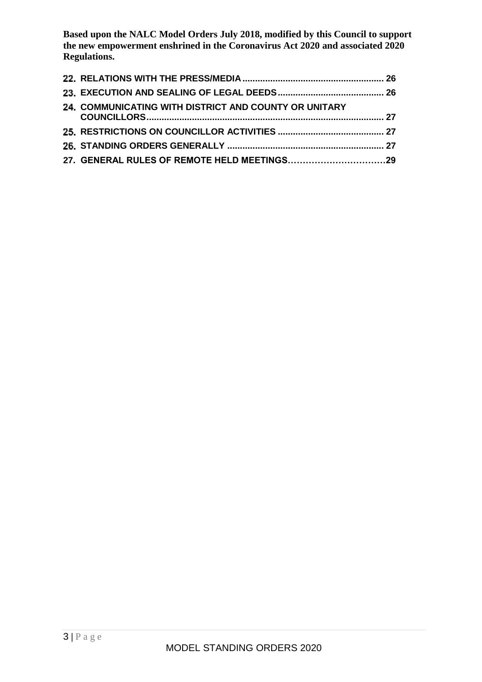| <b>24. COMMUNICATING WITH DISTRICT AND COUNTY OR UNITARY</b> |  |
|--------------------------------------------------------------|--|
|                                                              |  |
|                                                              |  |
|                                                              |  |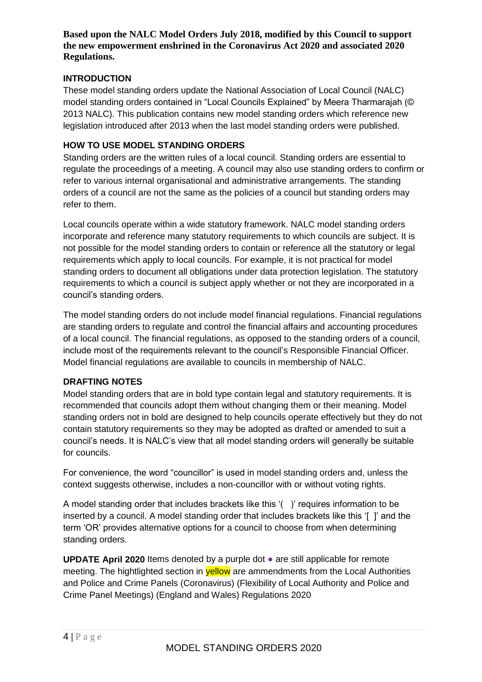### <span id="page-3-0"></span>**INTRODUCTION**

These model standing orders update the National Association of Local Council (NALC) model standing orders contained in "Local Councils Explained" by Meera Tharmarajah (© 2013 NALC). This publication contains new model standing orders which reference new legislation introduced after 2013 when the last model standing orders were published.

### **HOW TO USE MODEL STANDING ORDERS**

Standing orders are the written rules of a local council. Standing orders are essential to regulate the proceedings of a meeting. A council may also use standing orders to confirm or refer to various internal organisational and administrative arrangements. The standing orders of a council are not the same as the policies of a council but standing orders may refer to them.

Local councils operate within a wide statutory framework. NALC model standing orders incorporate and reference many statutory requirements to which councils are subject. It is not possible for the model standing orders to contain or reference all the statutory or legal requirements which apply to local councils. For example, it is not practical for model standing orders to document all obligations under data protection legislation. The statutory requirements to which a council is subject apply whether or not they are incorporated in a council's standing orders.

The model standing orders do not include model financial regulations. Financial regulations are standing orders to regulate and control the financial affairs and accounting procedures of a local council. The financial regulations, as opposed to the standing orders of a council, include most of the requirements relevant to the council's Responsible Financial Officer. Model financial regulations are available to councils in membership of NALC.

### **DRAFTING NOTES**

Model standing orders that are in bold type contain legal and statutory requirements. It is recommended that councils adopt them without changing them or their meaning. Model standing orders not in bold are designed to help councils operate effectively but they do not contain statutory requirements so they may be adopted as drafted or amended to suit a council's needs. It is NALC's view that all model standing orders will generally be suitable for councils.

For convenience, the word "councillor" is used in model standing orders and, unless the context suggests otherwise, includes a non-councillor with or without voting rights.

A model standing order that includes brackets like this '( )' requires information to be inserted by a council. A model standing order that includes brackets like this '[ ]' and the term 'OR' provides alternative options for a council to choose from when determining standing orders.

**UPDATE April 2020** Items denoted by a purple dot ● are still applicable for remote meeting. The hightlighted section in **yellow** are ammendments from the Local Authorities and Police and Crime Panels (Coronavirus) (Flexibility of Local Authority and Police and Crime Panel Meetings) (England and Wales) Regulations 2020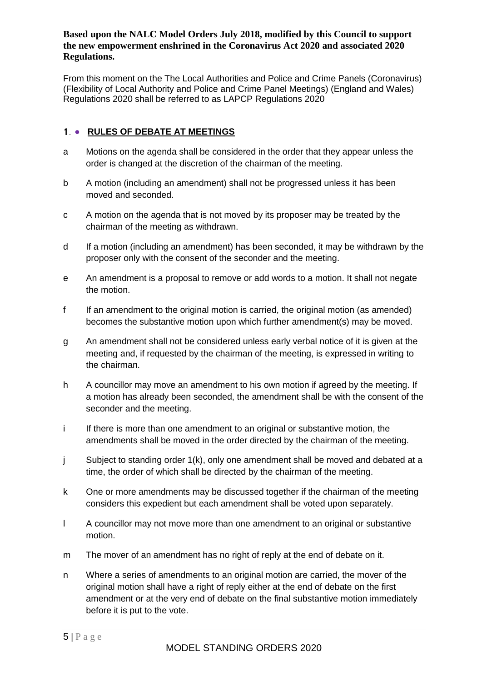From this moment on the The Local Authorities and Police and Crime Panels (Coronavirus) (Flexibility of Local Authority and Police and Crime Panel Meetings) (England and Wales) Regulations 2020 shall be referred to as LAPCP Regulations 2020

# <span id="page-4-0"></span>1. • RULES OF DEBATE AT MEETINGS

- a Motions on the agenda shall be considered in the order that they appear unless the order is changed at the discretion of the chairman of the meeting.
- b A motion (including an amendment) shall not be progressed unless it has been moved and seconded.
- c A motion on the agenda that is not moved by its proposer may be treated by the chairman of the meeting as withdrawn.
- d If a motion (including an amendment) has been seconded, it may be withdrawn by the proposer only with the consent of the seconder and the meeting.
- e An amendment is a proposal to remove or add words to a motion. It shall not negate the motion.
- f If an amendment to the original motion is carried, the original motion (as amended) becomes the substantive motion upon which further amendment(s) may be moved.
- g An amendment shall not be considered unless early verbal notice of it is given at the meeting and, if requested by the chairman of the meeting, is expressed in writing to the chairman.
- h A councillor may move an amendment to his own motion if agreed by the meeting. If a motion has already been seconded, the amendment shall be with the consent of the seconder and the meeting.
- i If there is more than one amendment to an original or substantive motion, the amendments shall be moved in the order directed by the chairman of the meeting.
- j Subject to standing order 1(k), only one amendment shall be moved and debated at a time, the order of which shall be directed by the chairman of the meeting.
- k One or more amendments may be discussed together if the chairman of the meeting considers this expedient but each amendment shall be voted upon separately.
- l A councillor may not move more than one amendment to an original or substantive motion.
- m The mover of an amendment has no right of reply at the end of debate on it.
- n Where a series of amendments to an original motion are carried, the mover of the original motion shall have a right of reply either at the end of debate on the first amendment or at the very end of debate on the final substantive motion immediately before it is put to the vote.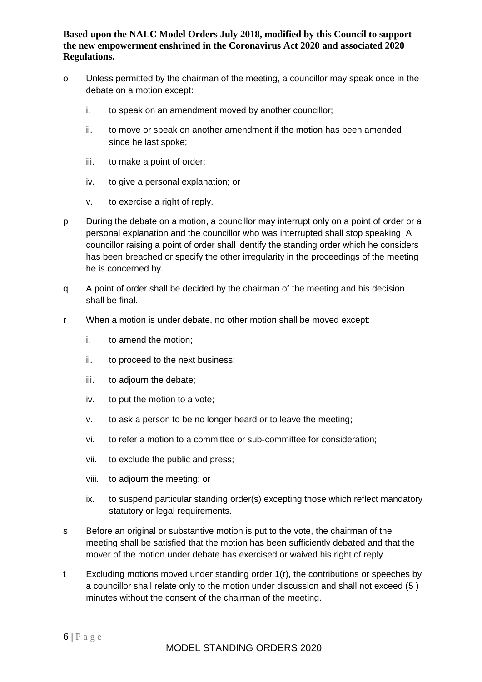- o Unless permitted by the chairman of the meeting, a councillor may speak once in the debate on a motion except:
	- i. to speak on an amendment moved by another councillor;
	- ii. to move or speak on another amendment if the motion has been amended since he last spoke;
	- iii. to make a point of order;
	- iv. to give a personal explanation; or
	- v. to exercise a right of reply.
- p During the debate on a motion, a councillor may interrupt only on a point of order or a personal explanation and the councillor who was interrupted shall stop speaking. A councillor raising a point of order shall identify the standing order which he considers has been breached or specify the other irregularity in the proceedings of the meeting he is concerned by.
- q A point of order shall be decided by the chairman of the meeting and his decision shall be final.
- r When a motion is under debate, no other motion shall be moved except:
	- i. to amend the motion;
	- ii. to proceed to the next business;
	- iii. to adjourn the debate;
	- iv. to put the motion to a vote;
	- v. to ask a person to be no longer heard or to leave the meeting;
	- vi. to refer a motion to a committee or sub-committee for consideration;
	- vii. to exclude the public and press;
	- viii. to adjourn the meeting; or
	- ix. to suspend particular standing order(s) excepting those which reflect mandatory statutory or legal requirements.
- s Before an original or substantive motion is put to the vote, the chairman of the meeting shall be satisfied that the motion has been sufficiently debated and that the mover of the motion under debate has exercised or waived his right of reply.
- t Excluding motions moved under standing order 1(r), the contributions or speeches by a councillor shall relate only to the motion under discussion and shall not exceed (5 ) minutes without the consent of the chairman of the meeting.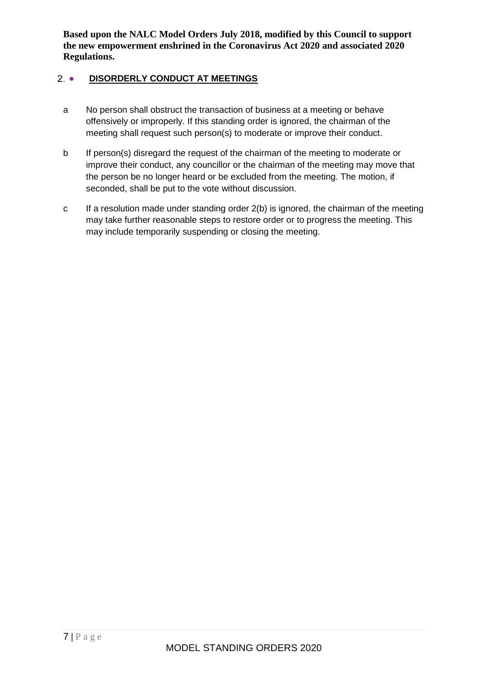# <span id="page-6-0"></span>2 . DISORDERLY CONDUCT AT MEETINGS

- a No person shall obstruct the transaction of business at a meeting or behave offensively or improperly. If this standing order is ignored, the chairman of the meeting shall request such person(s) to moderate or improve their conduct.
- b If person(s) disregard the request of the chairman of the meeting to moderate or improve their conduct, any councillor or the chairman of the meeting may move that the person be no longer heard or be excluded from the meeting. The motion, if seconded, shall be put to the vote without discussion.
- <span id="page-6-1"></span>c If a resolution made under standing order 2(b) is ignored, the chairman of the meeting may take further reasonable steps to restore order or to progress the meeting. This may include temporarily suspending or closing the meeting.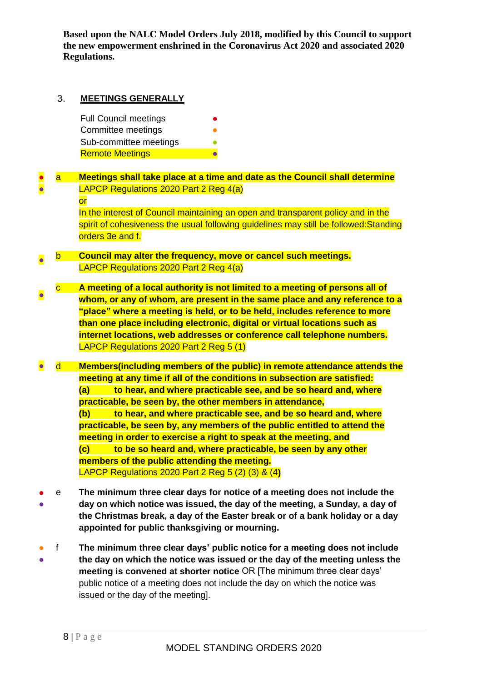#### **MEETINGS GENERALLY** 3.

Full Council meetings Committee meetings Sub-committee meetings **Remote Meetings** 

### ● ● a **Meetings shall take place at a time and date as the Council shall determine**  LAPCP Regulations 2020 Part 2 Reg 4(a) or

In the interest of Council maintaining an open and transparent policy and in the spirit of cohesiveness the usual following guidelines may still be followed:Standing orders 3e and f.

### ● b **Council may alter the frequency, move or cancel such meetings.** LAPCP Regulations 2020 Part 2 Reg 4(a)

● c **A meeting of a local authority is not limited to a meeting of persons all of whom, or any of whom, are present in the same place and any reference to a "place" where a meeting is held, or to be held, includes reference to more than one place including electronic, digital or virtual locations such as internet locations, web addresses or conference call telephone numbers.** LAPCP Regulations 2020 Part 2 Reg 5 (1)

● d **Members(including members of the public) in remote attendance attends the meeting at any time if all of the conditions in subsection are satisfied: (a) to hear, and where practicable see, and be so heard and, where practicable, be seen by, the other members in attendance, (b) to hear, and where practicable see, and be so heard and, where practicable, be seen by, any members of the public entitled to attend the meeting in order to exercise a right to speak at the meeting, and (c) to be so heard and, where practicable, be seen by any other members of the public attending the meeting.** LAPCP Regulations 2020 Part 2 Reg 5 (2) (3) & (4**)**

- ● e **The minimum three clear days for notice of a meeting does not include the day on which notice was issued, the day of the meeting, a Sunday, a day of the Christmas break, a day of the Easter break or of a bank holiday or a day appointed for public thanksgiving or mourning.**
- ● f **The minimum three clear days' public notice for a meeting does not include the day on which the notice was issued or the day of the meeting unless the meeting is convened at shorter notice** OR [The minimum three clear days' public notice of a meeting does not include the day on which the notice was issued or the day of the meeting].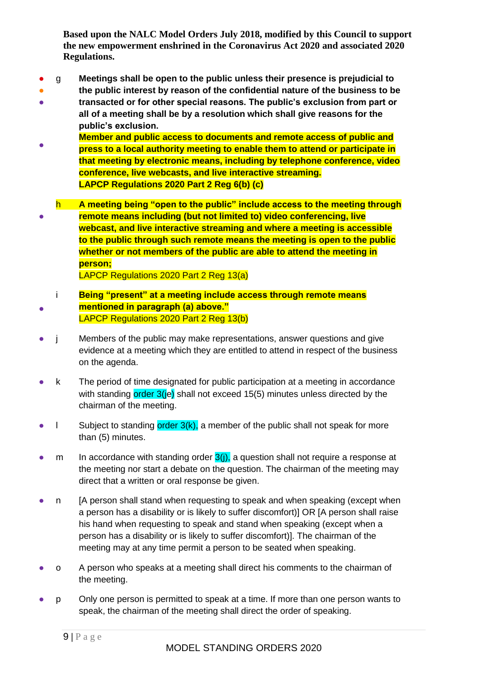- g **Meetings shall be open to the public unless their presence is prejudicial to**
- ● **the public interest by reason of the confidential nature of the business to be transacted or for other special reasons. The public's exclusion from part or all of a meeting shall be by a resolution which shall give reasons for the public's exclusion.**
- **Member and public access to documents and remote access of public and press to a local authority meeting to enable them to attend or participate in that meeting by electronic means, including by telephone conference, video conference, live webcasts, and live interactive streaming. LAPCP Regulations 2020 Part 2 Reg 6(b) (c)**
- h **A meeting being "open to the public" include access to the meeting through remote means including (but not limited to) video conferencing, live webcast, and live interactive streaming and where a meeting is accessible to the public through such remote means the meeting is open to the public whether or not members of the public are able to attend the meeting in person;**

LAPCP Regulations 2020 Part 2 Reg 13(a)

- i **Being "present" at a meeting include access through remote means mentioned in paragraph (a) above."**  LAPCP Regulations 2020 Part 2 Reg 13(b)
- j Members of the public may make representations, answer questions and give evidence at a meeting which they are entitled to attend in respect of the business on the agenda.
- k The period of time designated for public participation at a meeting in accordance with standing order 3(je) shall not exceed 15(5) minutes unless directed by the chairman of the meeting.
- $\bullet$  l Subject to standing order  $3(k)$ , a member of the public shall not speak for more than (5) minutes.
- m In accordance with standing order  $3(i)$ , a question shall not require a response at the meeting nor start a debate on the question. The chairman of the meeting may direct that a written or oral response be given.
- n [A person shall stand when requesting to speak and when speaking (except when a person has a disability or is likely to suffer discomfort)] OR [A person shall raise his hand when requesting to speak and stand when speaking (except when a person has a disability or is likely to suffer discomfort)]. The chairman of the meeting may at any time permit a person to be seated when speaking.
- o A person who speaks at a meeting shall direct his comments to the chairman of the meeting.
- p Only one person is permitted to speak at a time. If more than one person wants to speak, the chairman of the meeting shall direct the order of speaking.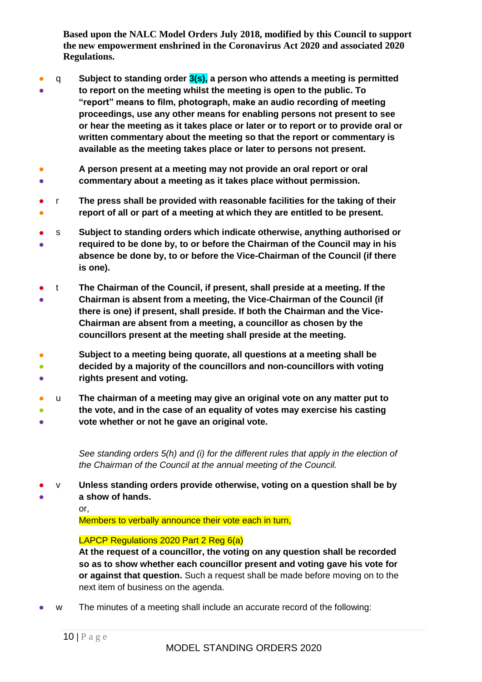- q **Subject to standing order 3(s), a person who attends a meeting is permitted**
- **to report on the meeting whilst the meeting is open to the public. To "report" means to film, photograph, make an audio recording of meeting proceedings, use any other means for enabling persons not present to see or hear the meeting as it takes place or later or to report or to provide oral or written commentary about the meeting so that the report or commentary is available as the meeting takes place or later to persons not present.**
- **A person present at a meeting may not provide an oral report or oral**
- $\bullet$ **commentary about a meeting as it takes place without permission.**
- r **The press shall be provided with reasonable facilities for the taking of their**
- $\bullet$ **report of all or part of a meeting at which they are entitled to be present.**
- ● s **Subject to standing orders which indicate otherwise, anything authorised or required to be done by, to or before the Chairman of the Council may in his absence be done by, to or before the Vice-Chairman of the Council (if there is one).**
- ● t **The Chairman of the Council, if present, shall preside at a meeting. If the Chairman is absent from a meeting, the Vice-Chairman of the Council (if there is one) if present, shall preside. If both the Chairman and the Vice-Chairman are absent from a meeting, a councillor as chosen by the councillors present at the meeting shall preside at the meeting.**
- **Subject to a meeting being quorate, all questions at a meeting shall be**
- $\bullet$ **decided by a majority of the councillors and non-councillors with voting**
- **rights present and voting.**
- u **The chairman of a meeting may give an original vote on any matter put to**
- $\bullet$ ● **the vote, and in the case of an equality of votes may exercise his casting vote whether or not he gave an original vote.**

*See standing orders 5(h) and (i) for the different rules that apply in the election of the Chairman of the Council at the annual meeting of the Council.*

● ● v **Unless standing orders provide otherwise, voting on a question shall be by a show of hands.**

or,

Members to verbally announce their vote each in turn,

# LAPCP Regulations 2020 Part 2 Reg 6(a)

**At the request of a councillor, the voting on any question shall be recorded so as to show whether each councillor present and voting gave his vote for or against that question.** Such a request shall be made before moving on to the next item of business on the agenda.

w The minutes of a meeting shall include an accurate record of the following: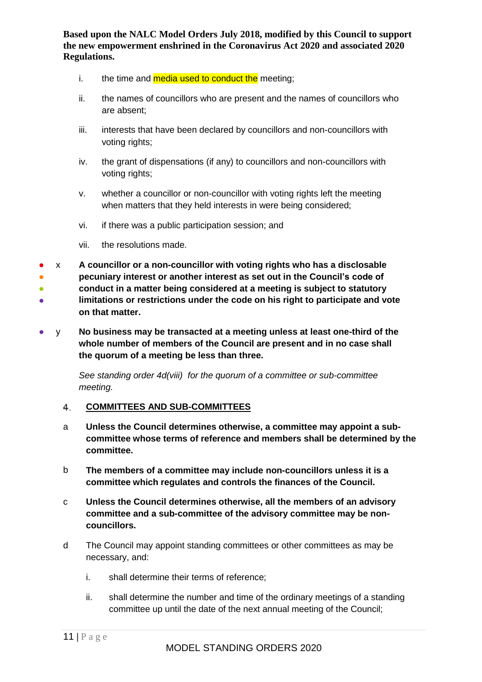- i. the time and media used to conduct the meeting:
- ii. the names of councillors who are present and the names of councillors who are absent;
- iii. interests that have been declared by councillors and non-councillors with voting rights;
- iv. the grant of dispensations (if any) to councillors and non-councillors with voting rights;
- v. whether a councillor or non-councillor with voting rights left the meeting when matters that they held interests in were being considered;
- vi. if there was a public participation session; and
- vii. the resolutions made.
- x **A councillor or a non-councillor with voting rights who has a disclosable**
- **pecuniary interest or another interest as set out in the Council's code of**
- ● **conduct in a matter being considered at a meeting is subject to statutory limitations or restrictions under the code on his right to participate and vote on that matter.**
- y **No business may be transacted at a meeting unless at least one-third of the whole number of members of the Council are present and in no case shall the quorum of a meeting be less than three.**

*See standing order 4d(viii) for the quorum of a committee or sub-committee meeting.* 

#### <span id="page-10-0"></span>**COMMITTEES AND SUB-COMMITTEES**  $4.$

- a **Unless the Council determines otherwise, a committee may appoint a subcommittee whose terms of reference and members shall be determined by the committee.**
- b **The members of a committee may include non-councillors unless it is a committee which regulates and controls the finances of the Council.**
- c **Unless the Council determines otherwise, all the members of an advisory committee and a sub-committee of the advisory committee may be noncouncillors.**
- d The Council may appoint standing committees or other committees as may be necessary, and:
	- i. shall determine their terms of reference;
	- ii. shall determine the number and time of the ordinary meetings of a standing committee up until the date of the next annual meeting of the Council;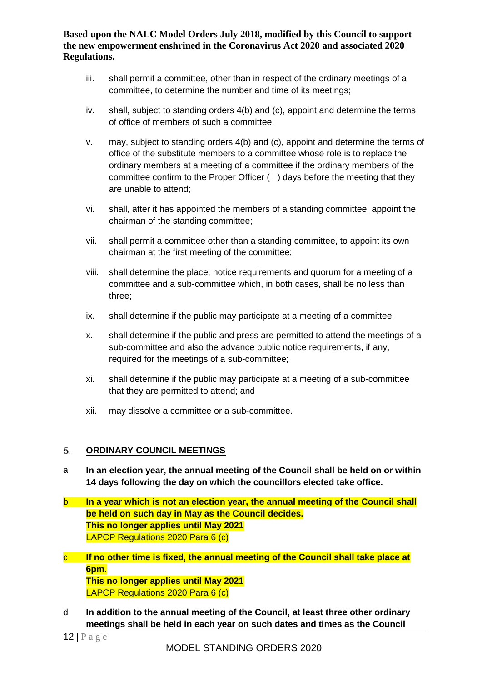- iii. shall permit a committee, other than in respect of the ordinary meetings of a committee, to determine the number and time of its meetings;
- iv. shall, subject to standing orders 4(b) and (c), appoint and determine the terms of office of members of such a committee;
- v. may, subject to standing orders 4(b) and (c), appoint and determine the terms of office of the substitute members to a committee whose role is to replace the ordinary members at a meeting of a committee if the ordinary members of the committee confirm to the Proper Officer ( ) days before the meeting that they are unable to attend;
- vi. shall, after it has appointed the members of a standing committee, appoint the chairman of the standing committee;
- vii. shall permit a committee other than a standing committee, to appoint its own chairman at the first meeting of the committee;
- viii. shall determine the place, notice requirements and quorum for a meeting of a committee and a sub-committee which, in both cases, shall be no less than three;
- ix. shall determine if the public may participate at a meeting of a committee;
- x. shall determine if the public and press are permitted to attend the meetings of a sub-committee and also the advance public notice requirements, if any, required for the meetings of a sub-committee;
- xi. shall determine if the public may participate at a meeting of a sub-committee that they are permitted to attend; and
- xii. may dissolve a committee or a sub-committee.

#### <span id="page-11-0"></span>5. **ORDINARY COUNCIL MEETINGS**

- a **In an election year, the annual meeting of the Council shall be held on or within 14 days following the day on which the councillors elected take office.**
- b **In a year which is not an election year, the annual meeting of the Council shall be held on such day in May as the Council decides. This no longer applies until May 2021** LAPCP Regulations 2020 Para 6 (c)
- c **If no other time is fixed, the annual meeting of the Council shall take place at 6pm. This no longer applies until May 2021** LAPCP Regulations 2020 Para 6 (c)
- d **In addition to the annual meeting of the Council, at least three other ordinary meetings shall be held in each year on such dates and times as the Council**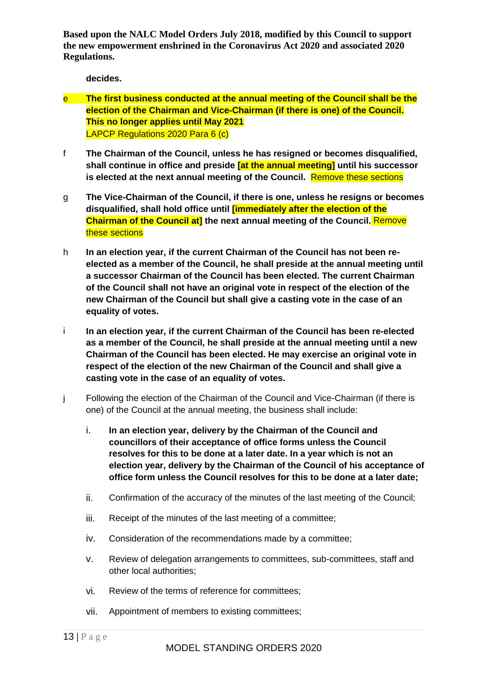**decides.**

- e **The first business conducted at the annual meeting of the Council shall be the election of the Chairman and Vice-Chairman (if there is one) of the Council. This no longer applies until May 2021** LAPCP Regulations 2020 Para 6 (c)
- f **The Chairman of the Council, unless he has resigned or becomes disqualified, shall continue in office and preside [at the annual meeting] until his successor is elected at the next annual meeting of the Council.** Remove these sections
- g **The Vice-Chairman of the Council, if there is one, unless he resigns or becomes disqualified, shall hold office until [immediately after the election of the Chairman of the Council at] the next annual meeting of the Council.** Remove these sections
- h **In an election year, if the current Chairman of the Council has not been reelected as a member of the Council, he shall preside at the annual meeting until a successor Chairman of the Council has been elected. The current Chairman of the Council shall not have an original vote in respect of the election of the new Chairman of the Council but shall give a casting vote in the case of an equality of votes.**
- i **In an election year, if the current Chairman of the Council has been re-elected as a member of the Council, he shall preside at the annual meeting until a new Chairman of the Council has been elected. He may exercise an original vote in respect of the election of the new Chairman of the Council and shall give a casting vote in the case of an equality of votes.**
- j Following the election of the Chairman of the Council and Vice-Chairman (if there is one) of the Council at the annual meeting, the business shall include:
	- i. **In an election year, delivery by the Chairman of the Council and councillors of their acceptance of office forms unless the Council resolves for this to be done at a later date. In a year which is not an election year, delivery by the Chairman of the Council of his acceptance of office form unless the Council resolves for this to be done at a later date;**
	- ii. Confirmation of the accuracy of the minutes of the last meeting of the Council;
	- iii. Receipt of the minutes of the last meeting of a committee;
	- iv. Consideration of the recommendations made by a committee;
	- v. Review of delegation arrangements to committees, sub-committees, staff and other local authorities;
	- vi. Review of the terms of reference for committees;
	- vii. Appointment of members to existing committees;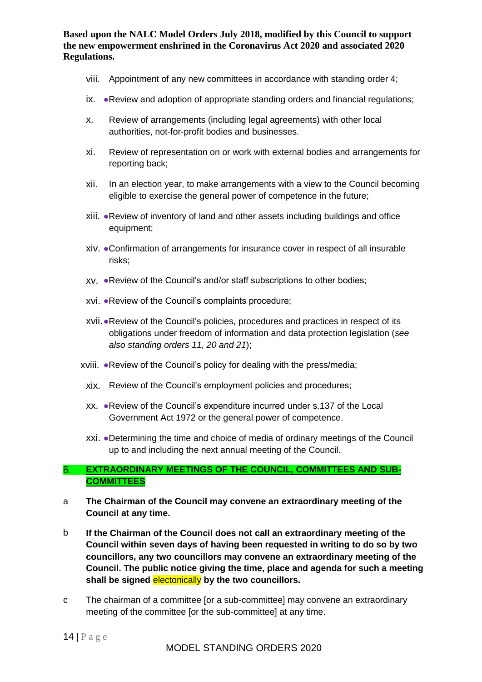- viii. Appointment of any new committees in accordance with standing order 4;
- ix. ●Review and adoption of appropriate standing orders and financial regulations;
- x. Review of arrangements (including legal agreements) with other local authorities, not-for-profit bodies and businesses.
- xi. Review of representation on or work with external bodies and arrangements for reporting back;
- xii. In an election year, to make arrangements with a view to the Council becoming eligible to exercise the general power of competence in the future;
- xiii. ●Review of inventory of land and other assets including buildings and office equipment;
- xiv. ●Confirmation of arrangements for insurance cover in respect of all insurable risks;
- xv. ●Review of the Council's and/or staff subscriptions to other bodies;
- xvi. ●Review of the Council's complaints procedure;
- xvii.●Review of the Council's policies, procedures and practices in respect of its obligations under freedom of information and data protection legislation (*see also standing orders 11, 20 and 21*);
- xviii. ●Review of the Council's policy for dealing with the press/media;
- xix. Review of the Council's employment policies and procedures;
- xx. ●Review of the Council's expenditure incurred under s.137 of the Local Government Act 1972 or the general power of competence.
- xxi. ●Determining the time and choice of media of ordinary meetings of the Council up to and including the next annual meeting of the Council.

### <span id="page-13-0"></span> $6.$ **EXTRAORDINARY MEETINGS OF THE COUNCIL, COMMITTEES AND SUB-COMMITTEES**

- a **The Chairman of the Council may convene an extraordinary meeting of the Council at any time.**
- b **If the Chairman of the Council does not call an extraordinary meeting of the Council within seven days of having been requested in writing to do so by two councillors, any two councillors may convene an extraordinary meeting of the Council. The public notice giving the time, place and agenda for such a meeting shall be signed** electonically **by the two councillors.**
- c The chairman of a committee [or a sub-committee] may convene an extraordinary meeting of the committee [or the sub-committee] at any time.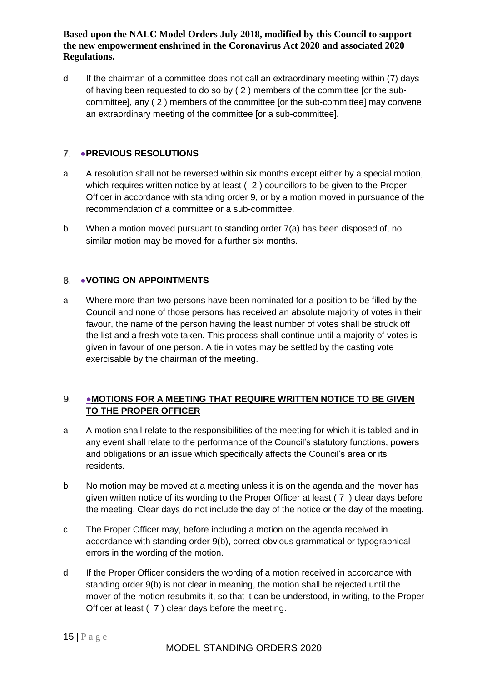d If the chairman of a committee does not call an extraordinary meeting within (7) days of having been requested to do so by ( 2 ) members of the committee [or the subcommittee], any ( 2 ) members of the committee [or the sub-committee] may convene an extraordinary meeting of the committee [or a sub-committee].

#### <span id="page-14-0"></span>7. ●**PREVIOUS RESOLUTIONS**

- a A resolution shall not be reversed within six months except either by a special motion, which requires written notice by at least ( 2 ) councillors to be given to the Proper Officer in accordance with standing order 9, or by a motion moved in pursuance of the recommendation of a committee or a sub-committee.
- b When a motion moved pursuant to standing order 7(a) has been disposed of, no similar motion may be moved for a further six months.

### <span id="page-14-1"></span>8. VOTING ON APPOINTMENTS

a Where more than two persons have been nominated for a position to be filled by the Council and none of those persons has received an absolute majority of votes in their favour, the name of the person having the least number of votes shall be struck off the list and a fresh vote taken. This process shall continue until a majority of votes is given in favour of one person. A tie in votes may be settled by the casting vote exercisable by the chairman of the meeting.

### <span id="page-14-2"></span>9. ●**MOTIONS FOR A MEETING THAT REQUIRE WRITTEN NOTICE TO BE GIVEN TO THE PROPER OFFICER**

- a A motion shall relate to the responsibilities of the meeting for which it is tabled and in any event shall relate to the performance of the Council's statutory functions, powers and obligations or an issue which specifically affects the Council's area or its residents.
- b No motion may be moved at a meeting unless it is on the agenda and the mover has given written notice of its wording to the Proper Officer at least ( 7 ) clear days before the meeting. Clear days do not include the day of the notice or the day of the meeting.
- c The Proper Officer may, before including a motion on the agenda received in accordance with standing order 9(b), correct obvious grammatical or typographical errors in the wording of the motion.
- d If the Proper Officer considers the wording of a motion received in accordance with standing order 9(b) is not clear in meaning, the motion shall be rejected until the mover of the motion resubmits it, so that it can be understood, in writing, to the Proper Officer at least ( 7 ) clear days before the meeting.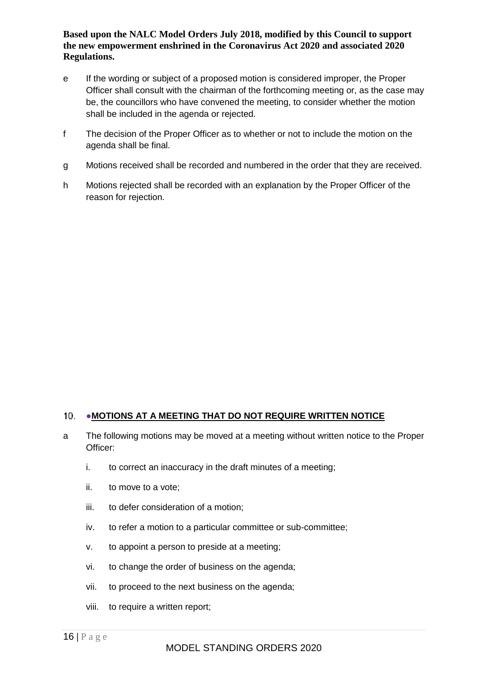- e If the wording or subject of a proposed motion is considered improper, the Proper Officer shall consult with the chairman of the forthcoming meeting or, as the case may be, the councillors who have convened the meeting, to consider whether the motion shall be included in the agenda or rejected.
- f The decision of the Proper Officer as to whether or not to include the motion on the agenda shall be final.
- g Motions received shall be recorded and numbered in the order that they are received.
- <span id="page-15-0"></span>h Motions rejected shall be recorded with an explanation by the Proper Officer of the reason for rejection.

### 10. • MOTIONS AT A MEETING THAT DO NOT REQUIRE WRITTEN NOTICE

- a The following motions may be moved at a meeting without written notice to the Proper Officer:
	- i. to correct an inaccuracy in the draft minutes of a meeting;
	- ii. to move to a vote;
	- iii. to defer consideration of a motion;
	- iv. to refer a motion to a particular committee or sub-committee;
	- v. to appoint a person to preside at a meeting;
	- vi. to change the order of business on the agenda;
	- vii. to proceed to the next business on the agenda;
	- viii. to require a written report;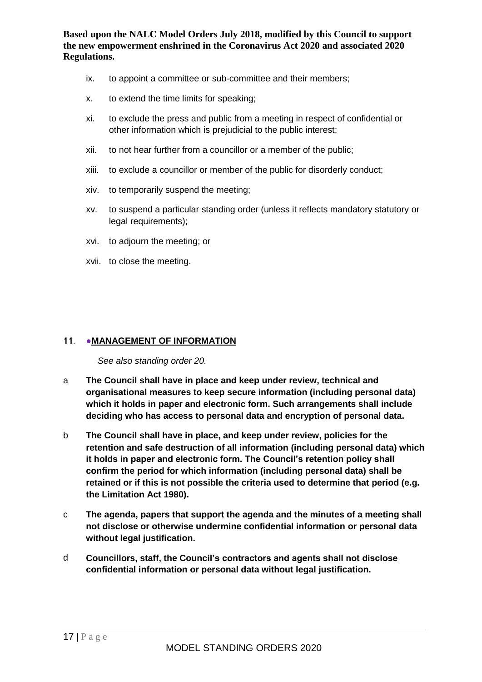- ix. to appoint a committee or sub-committee and their members;
- x. to extend the time limits for speaking;
- xi. to exclude the press and public from a meeting in respect of confidential or other information which is prejudicial to the public interest;
- xii. to not hear further from a councillor or a member of the public;
- xiii. to exclude a councillor or member of the public for disorderly conduct;
- xiv. to temporarily suspend the meeting;
- xv. to suspend a particular standing order (unless it reflects mandatory statutory or legal requirements);
- xvi. to adjourn the meeting; or
- xvii. to close the meeting.

### <span id="page-16-0"></span>11. • MANAGEMENT OF INFORMATION

*See also standing order 20.*

- a **The Council shall have in place and keep under review, technical and organisational measures to keep secure information (including personal data) which it holds in paper and electronic form. Such arrangements shall include deciding who has access to personal data and encryption of personal data.**
- b **The Council shall have in place, and keep under review, policies for the retention and safe destruction of all information (including personal data) which it holds in paper and electronic form. The Council's retention policy shall confirm the period for which information (including personal data) shall be retained or if this is not possible the criteria used to determine that period (e.g. the Limitation Act 1980).**
- c **The agenda, papers that support the agenda and the minutes of a meeting shall not disclose or otherwise undermine confidential information or personal data without legal justification.**
- <span id="page-16-1"></span>d **Councillors, staff, the Council's contractors and agents shall not disclose confidential information or personal data without legal justification.**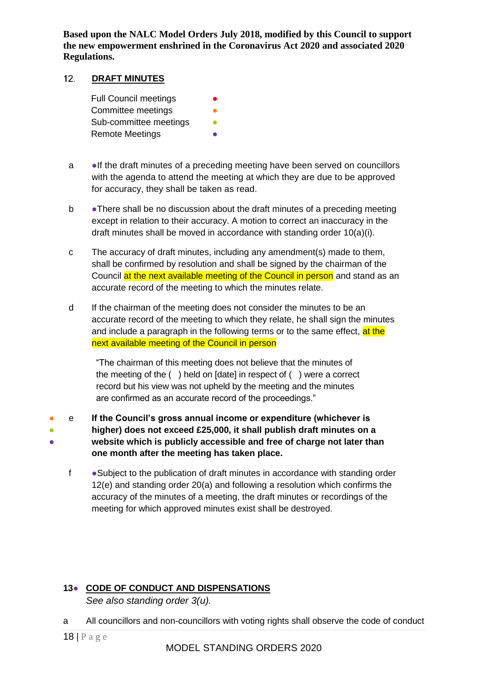#### $12<sub>1</sub>$ **DRAFT MINUTES**

Full Council meetings **•** Committee meetings Sub-committee meetings **• Remote Meetings** 

- a ●If the draft minutes of a preceding meeting have been served on councillors with the agenda to attend the meeting at which they are due to be approved for accuracy, they shall be taken as read.
- b •There shall be no discussion about the draft minutes of a preceding meeting except in relation to their accuracy. A motion to correct an inaccuracy in the draft minutes shall be moved in accordance with standing order 10(a)(i).
- c The accuracy of draft minutes, including any amendment(s) made to them, shall be confirmed by resolution and shall be signed by the chairman of the Council at the next available meeting of the Council in person and stand as an accurate record of the meeting to which the minutes relate.
- d If the chairman of the meeting does not consider the minutes to be an accurate record of the meeting to which they relate, he shall sign the minutes and include a paragraph in the following terms or to the same effect, at the next available meeting of the Council in person

"The chairman of this meeting does not believe that the minutes of the meeting of the ( ) held on [date] in respect of ( ) were a correct record but his view was not upheld by the meeting and the minutes are confirmed as an accurate record of the proceedings."

- ● ● e **If the Council's gross annual income or expenditure (whichever is higher) does not exceed £25,000, it shall publish draft minutes on a website which is publicly accessible and free of charge not later than one month after the meeting has taken place.**
	- f Subject to the publication of draft minutes in accordance with standing order 12(e) and standing order 20(a) and following a resolution which confirms the accuracy of the minutes of a meeting, the draft minutes or recordings of the meeting for which approved minutes exist shall be destroyed.

### <span id="page-17-0"></span>**13**● **CODE OF CONDUCT AND DISPENSATIONS** *See also standing order 3(u).*

a All councillors and non-councillors with voting rights shall observe the code of conduct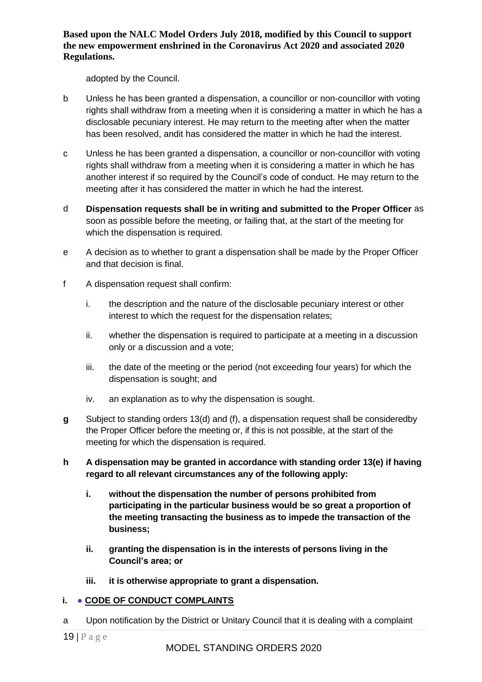adopted by the Council.

- b Unless he has been granted a dispensation, a councillor or non-councillor with voting rights shall withdraw from a meeting when it is considering a matter in which he has a disclosable pecuniary interest. He may return to the meeting after when the matter has been resolved, andit has considered the matter in which he had the interest.
- c Unless he has been granted a dispensation, a councillor or non-councillor with voting rights shall withdraw from a meeting when it is considering a matter in which he has another interest if so required by the Council's code of conduct. He may return to the meeting after it has considered the matter in which he had the interest.
- d **Dispensation requests shall be in writing and submitted to the Proper Officer** as soon as possible before the meeting, or failing that, at the start of the meeting for which the dispensation is required.
- e A decision as to whether to grant a dispensation shall be made by the Proper Officer and that decision is final.
- f A dispensation request shall confirm:
	- i. the description and the nature of the disclosable pecuniary interest or other interest to which the request for the dispensation relates;
	- ii. whether the dispensation is required to participate at a meeting in a discussion only or a discussion and a vote;
	- iii. the date of the meeting or the period (not exceeding four years) for which the dispensation is sought; and
	- iv. an explanation as to why the dispensation is sought.
- **g** Subject to standing orders 13(d) and (f), a dispensation request shall be consideredby the Proper Officer before the meeting or, if this is not possible, at the start of the meeting for which the dispensation is required.
- **h A dispensation may be granted in accordance with standing order 13(e) if having regard to all relevant circumstances any of the following apply:**
	- **i. without the dispensation the number of persons prohibited from participating in the particular business would be so great a proportion of the meeting transacting the business as to impede the transaction of the business;**
	- **ii. granting the dispensation is in the interests of persons living in the Council's area; or**
	- **iii. it is otherwise appropriate to grant a dispensation.**

# <span id="page-18-0"></span>**i.** ● **CODE OF CONDUCT COMPLAINTS**

a Upon notification by the District or Unitary Council that it is dealing with a complaint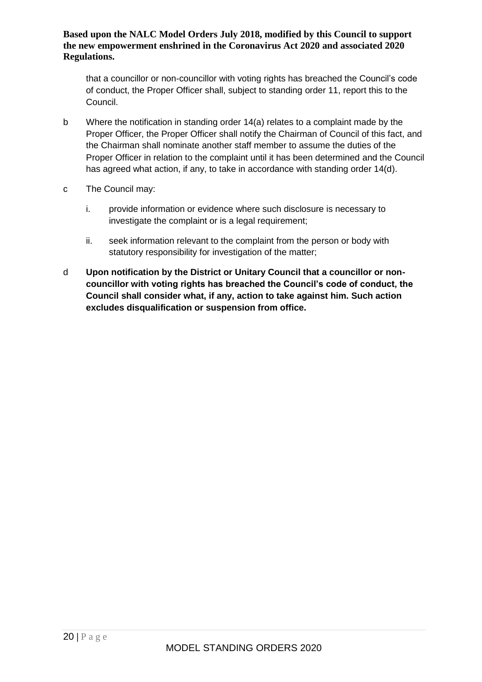that a councillor or non-councillor with voting rights has breached the Council's code of conduct, the Proper Officer shall, subject to standing order 11, report this to the Council.

- b Where the notification in standing order 14(a) relates to a complaint made by the Proper Officer, the Proper Officer shall notify the Chairman of Council of this fact, and the Chairman shall nominate another staff member to assume the duties of the Proper Officer in relation to the complaint until it has been determined and the Council has agreed what action, if any, to take in accordance with standing order 14(d).
- c The Council may:
	- i. provide information or evidence where such disclosure is necessary to investigate the complaint or is a legal requirement;
	- ii. seek information relevant to the complaint from the person or body with statutory responsibility for investigation of the matter;
- <span id="page-19-0"></span>d **Upon notification by the District or Unitary Council that a councillor or noncouncillor with voting rights has breached the Council's code of conduct, the Council shall consider what, if any, action to take against him. Such action excludes disqualification or suspension from office.**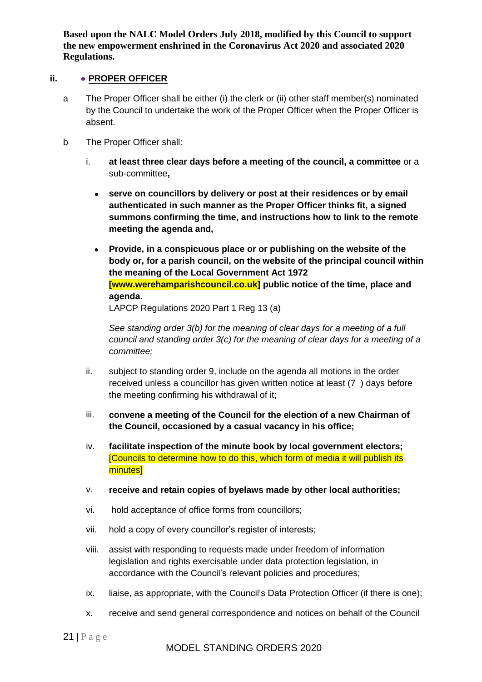### **ii.** ● **PROPER OFFICER**

- a The Proper Officer shall be either (i) the clerk or (ii) other staff member(s) nominated by the Council to undertake the work of the Proper Officer when the Proper Officer is absent.
- b The Proper Officer shall:
	- i. **at least three clear days before a meeting of the council, a committee** or a sub-committee**,**
		- **serve on councillors by delivery or post at their residences or by email authenticated in such manner as the Proper Officer thinks fit, a signed summons confirming the time, and instructions how to link to the remote meeting the agenda and,**
		- **Provide, in a conspicuous place or or publishing on the website of the body or, for a parish council, on the website of the principal council within the meaning of the Local Government Act 1972 [www.werehamparishcouncil.co.uk] public notice of the time, place and agenda.** LAPCP Regulations 2020 Part 1 Reg 13 (a)

*See standing order 3(b) for the meaning of clear days for a meeting of a full council and standing order 3(c) for the meaning of clear days for a meeting of a committee;*

- ii. subject to standing order 9, include on the agenda all motions in the order received unless a councillor has given written notice at least (7 ) days before the meeting confirming his withdrawal of it;
- iii. **convene a meeting of the Council for the election of a new Chairman of the Council, occasioned by a casual vacancy in his office;**
- iv. **facilitate inspection of the minute book by local government electors;** [Councils to determine how to do this, which form of media it will publish its minutes]
- v. **receive and retain copies of byelaws made by other local authorities;**
- vi. hold acceptance of office forms from councillors;
- vii. hold a copy of every councillor's register of interests;
- viii. assist with responding to requests made under freedom of information legislation and rights exercisable under data protection legislation, in accordance with the Council's relevant policies and procedures;
- ix. liaise, as appropriate, with the Council's Data Protection Officer (if there is one);
- x. receive and send general correspondence and notices on behalf of the Council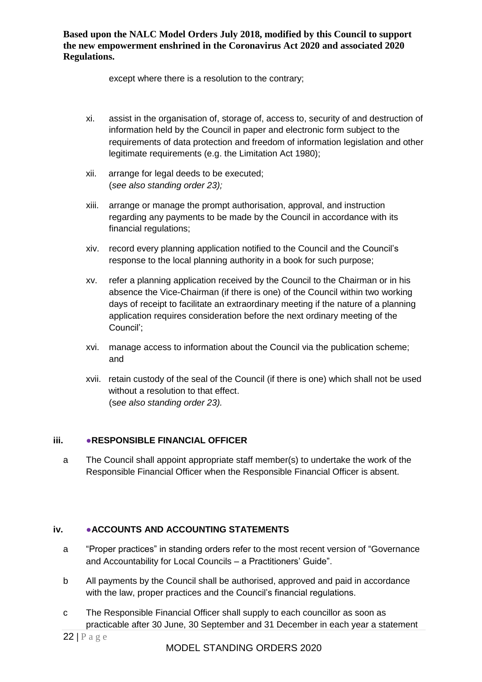except where there is a resolution to the contrary;

- xi. assist in the organisation of, storage of, access to, security of and destruction of information held by the Council in paper and electronic form subject to the requirements of data protection and freedom of information legislation and other legitimate requirements (e.g. the Limitation Act 1980);
- xii. arrange for legal deeds to be executed; (*see also standing order 23);*
- xiii. arrange or manage the prompt authorisation, approval, and instruction regarding any payments to be made by the Council in accordance with its financial regulations;
- xiv. record every planning application notified to the Council and the Council's response to the local planning authority in a book for such purpose;
- xv. refer a planning application received by the Council to the Chairman or in his absence the Vice-Chairman (if there is one) of the Council within two working days of receipt to facilitate an extraordinary meeting if the nature of a planning application requires consideration before the next ordinary meeting of the Council';
- xvi. manage access to information about the Council via the publication scheme; and
- xvii. retain custody of the seal of the Council (if there is one) which shall not be used without a resolution to that effect. (s*ee also standing order 23).*

### <span id="page-21-0"></span>**iii.** ●**RESPONSIBLE FINANCIAL OFFICER**

a The Council shall appoint appropriate staff member(s) to undertake the work of the Responsible Financial Officer when the Responsible Financial Officer is absent.

### <span id="page-21-1"></span>**iv.** ●**ACCOUNTS AND ACCOUNTING STATEMENTS**

- a "Proper practices" in standing orders refer to the most recent version of "Governance and Accountability for Local Councils – a Practitioners' Guide".
- b All payments by the Council shall be authorised, approved and paid in accordance with the law, proper practices and the Council's financial regulations.
- c The Responsible Financial Officer shall supply to each councillor as soon as practicable after 30 June, 30 September and 31 December in each year a statement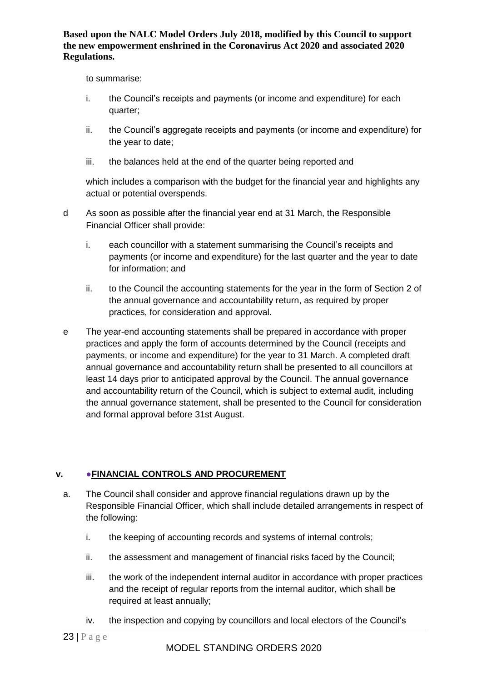to summarise:

- i. the Council's receipts and payments (or income and expenditure) for each quarter;
- ii. the Council's aggregate receipts and payments (or income and expenditure) for the year to date;
- iii. the balances held at the end of the quarter being reported and

which includes a comparison with the budget for the financial year and highlights any actual or potential overspends.

- d As soon as possible after the financial year end at 31 March, the Responsible Financial Officer shall provide:
	- i. each councillor with a statement summarising the Council's receipts and payments (or income and expenditure) for the last quarter and the year to date for information; and
	- ii. to the Council the accounting statements for the year in the form of Section 2 of the annual governance and accountability return, as required by proper practices, for consideration and approval.
- e The year-end accounting statements shall be prepared in accordance with proper practices and apply the form of accounts determined by the Council (receipts and payments, or income and expenditure) for the year to 31 March. A completed draft annual governance and accountability return shall be presented to all councillors at least 14 days prior to anticipated approval by the Council. The annual governance and accountability return of the Council, which is subject to external audit, including the annual governance statement, shall be presented to the Council for consideration and formal approval before 31st August.

### <span id="page-22-0"></span>**v. ●FINANCIAL CONTROLS AND PROCUREMENT**

- a. The Council shall consider and approve financial regulations drawn up by the Responsible Financial Officer, which shall include detailed arrangements in respect of the following:
	- i. the keeping of accounting records and systems of internal controls;
	- ii. the assessment and management of financial risks faced by the Council;
	- iii. the work of the independent internal auditor in accordance with proper practices and the receipt of regular reports from the internal auditor, which shall be required at least annually;
	- iv. the inspection and copying by councillors and local electors of the Council's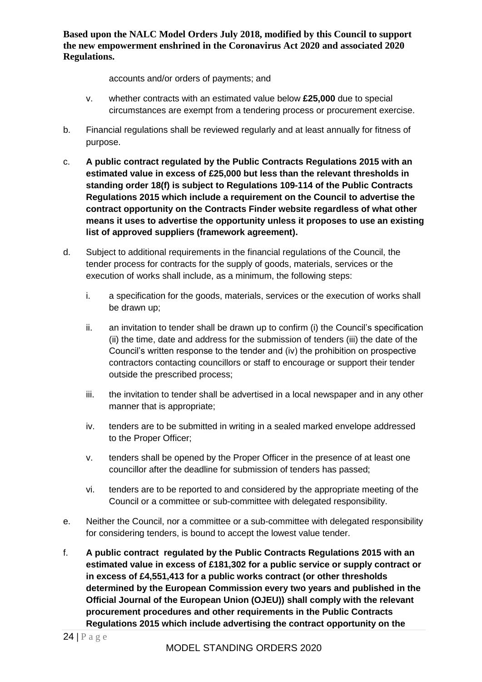accounts and/or orders of payments; and

- v. whether contracts with an estimated value below **£25,000** due to special circumstances are exempt from a tendering process or procurement exercise.
- b. Financial regulations shall be reviewed regularly and at least annually for fitness of purpose.
- c. **A public contract regulated by the Public Contracts Regulations 2015 with an estimated value in excess of £25,000 but less than the relevant thresholds in standing order 18(f) is subject to Regulations 109-114 of the Public Contracts Regulations 2015 which include a requirement on the Council to advertise the contract opportunity on the Contracts Finder website regardless of what other means it uses to advertise the opportunity unless it proposes to use an existing list of approved suppliers (framework agreement).**
- d. Subject to additional requirements in the financial regulations of the Council, the tender process for contracts for the supply of goods, materials, services or the execution of works shall include, as a minimum, the following steps:
	- i. a specification for the goods, materials, services or the execution of works shall be drawn up;
	- ii. an invitation to tender shall be drawn up to confirm (i) the Council's specification (ii) the time, date and address for the submission of tenders (iii) the date of the Council's written response to the tender and (iv) the prohibition on prospective contractors contacting councillors or staff to encourage or support their tender outside the prescribed process;
	- iii. the invitation to tender shall be advertised in a local newspaper and in any other manner that is appropriate;
	- iv. tenders are to be submitted in writing in a sealed marked envelope addressed to the Proper Officer;
	- v. tenders shall be opened by the Proper Officer in the presence of at least one councillor after the deadline for submission of tenders has passed;
	- vi. tenders are to be reported to and considered by the appropriate meeting of the Council or a committee or sub-committee with delegated responsibility.
- e. Neither the Council, nor a committee or a sub-committee with delegated responsibility for considering tenders, is bound to accept the lowest value tender.
- f. **A public contract regulated by the Public Contracts Regulations 2015 with an estimated value in excess of £181,302 for a public service or supply contract or in excess of £4,551,413 for a public works contract (or other thresholds determined by the European Commission every two years and published in the Official Journal of the European Union (OJEU)) shall comply with the relevant procurement procedures and other requirements in the Public Contracts Regulations 2015 which include advertising the contract opportunity on the**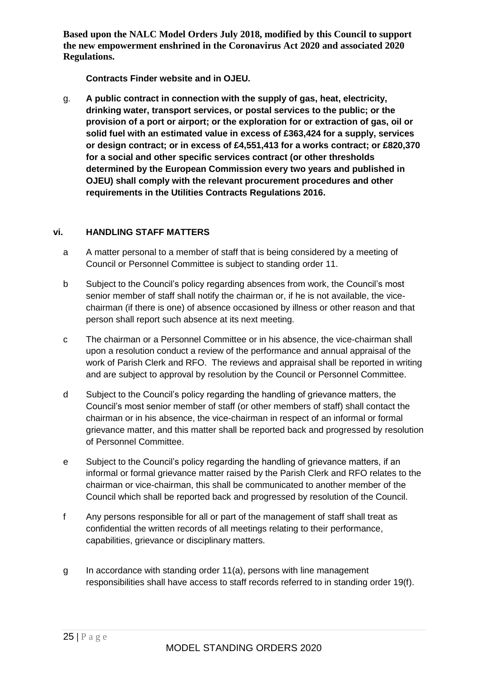**Contracts Finder website and in OJEU.**

g. **A public contract in connection with the supply of gas, heat, electricity, drinking water, transport services, or postal services to the public; or the provision of a port or airport; or the exploration for or extraction of gas, oil or solid fuel with an estimated value in excess of £363,424 for a supply, services or design contract; or in excess of £4,551,413 for a works contract; or £820,370 for a social and other specific services contract (or other thresholds determined by the European Commission every two years and published in OJEU) shall comply with the relevant procurement procedures and other requirements in the Utilities Contracts Regulations 2016.**

### <span id="page-24-0"></span>**vi. HANDLING STAFF MATTERS**

- a A matter personal to a member of staff that is being considered by a meeting of Council or Personnel Committee is subject to standing order 11.
- b Subject to the Council's policy regarding absences from work, the Council's most senior member of staff shall notify the chairman or, if he is not available, the vicechairman (if there is one) of absence occasioned by illness or other reason and that person shall report such absence at its next meeting.
- c The chairman or a Personnel Committee or in his absence, the vice-chairman shall upon a resolution conduct a review of the performance and annual appraisal of the work of Parish Clerk and RFO. The reviews and appraisal shall be reported in writing and are subject to approval by resolution by the Council or Personnel Committee.
- d Subject to the Council's policy regarding the handling of grievance matters, the Council's most senior member of staff (or other members of staff) shall contact the chairman or in his absence, the vice-chairman in respect of an informal or formal grievance matter, and this matter shall be reported back and progressed by resolution of Personnel Committee.
- e Subject to the Council's policy regarding the handling of grievance matters, if an informal or formal grievance matter raised by the Parish Clerk and RFO relates to the chairman or vice-chairman, this shall be communicated to another member of the Council which shall be reported back and progressed by resolution of the Council.
- f Any persons responsible for all or part of the management of staff shall treat as confidential the written records of all meetings relating to their performance, capabilities, grievance or disciplinary matters.
- g In accordance with standing order 11(a), persons with line management responsibilities shall have access to staff records referred to in standing order 19(f).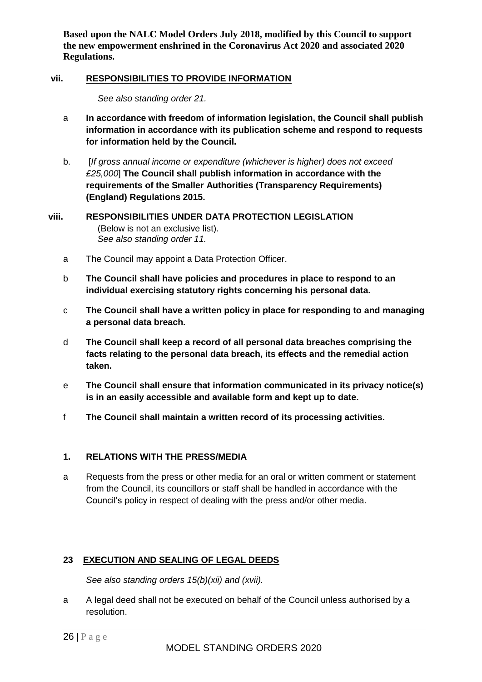### <span id="page-25-0"></span>**vii. RESPONSIBILITIES TO PROVIDE INFORMATION**

*See also standing order 21.*

- a **In accordance with freedom of information legislation, the Council shall publish information in accordance with its publication scheme and respond to requests for information held by the Council.**
- b. [*If gross annual income or expenditure (whichever is higher) does not exceed £25,000*] **The Council shall publish information in accordance with the requirements of the Smaller Authorities (Transparency Requirements) (England) Regulations 2015.**
- <span id="page-25-1"></span>**viii. RESPONSIBILITIES UNDER DATA PROTECTION LEGISLATION**  (Below is not an exclusive list). *See also standing order 11.*
	- a The Council may appoint a Data Protection Officer.
	- b **The Council shall have policies and procedures in place to respond to an individual exercising statutory rights concerning his personal data.**
	- c **The Council shall have a written policy in place for responding to and managing a personal data breach.**
	- d **The Council shall keep a record of all personal data breaches comprising the facts relating to the personal data breach, its effects and the remedial action taken.**
	- e **The Council shall ensure that information communicated in its privacy notice(s) is in an easily accessible and available form and kept up to date.**
	- f **The Council shall maintain a written record of its processing activities.**

### <span id="page-25-2"></span>**1. RELATIONS WITH THE PRESS/MEDIA**

a Requests from the press or other media for an oral or written comment or statement from the Council, its councillors or staff shall be handled in accordance with the Council's policy in respect of dealing with the press and/or other media.

### <span id="page-25-3"></span>**23 EXECUTION AND SEALING OF LEGAL DEEDS**

*See also standing orders 15(b)(xii) and (xvii).*

a A legal deed shall not be executed on behalf of the Council unless authorised by a resolution.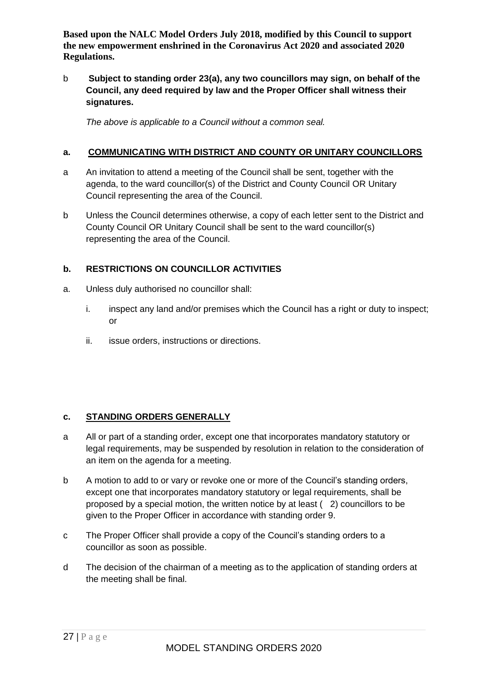b **Subject to standing order 23(a), any two councillors may sign, on behalf of the Council, any deed required by law and the Proper Officer shall witness their signatures.**

*The above is applicable to a Council without a common seal.*

### <span id="page-26-0"></span>**a. COMMUNICATING WITH DISTRICT AND COUNTY OR UNITARY COUNCILLORS**

- a An invitation to attend a meeting of the Council shall be sent, together with the agenda, to the ward councillor(s) of the District and County Council OR Unitary Council representing the area of the Council.
- b Unless the Council determines otherwise, a copy of each letter sent to the District and County Council OR Unitary Council shall be sent to the ward councillor(s) representing the area of the Council.

### <span id="page-26-1"></span>**b. RESTRICTIONS ON COUNCILLOR ACTIVITIES**

- a. Unless duly authorised no councillor shall:
	- i. inspect any land and/or premises which the Council has a right or duty to inspect; or
	- ii. issue orders, instructions or directions.

# <span id="page-26-2"></span>**c. STANDING ORDERS GENERALLY**

- a All or part of a standing order, except one that incorporates mandatory statutory or legal requirements, may be suspended by resolution in relation to the consideration of an item on the agenda for a meeting.
- b A motion to add to or vary or revoke one or more of the Council's standing orders, except one that incorporates mandatory statutory or legal requirements, shall be proposed by a special motion, the written notice by at least ( 2) councillors to be given to the Proper Officer in accordance with standing order 9.
- c The Proper Officer shall provide a copy of the Council's standing orders to a councillor as soon as possible.
- d The decision of the chairman of a meeting as to the application of standing orders at the meeting shall be final.